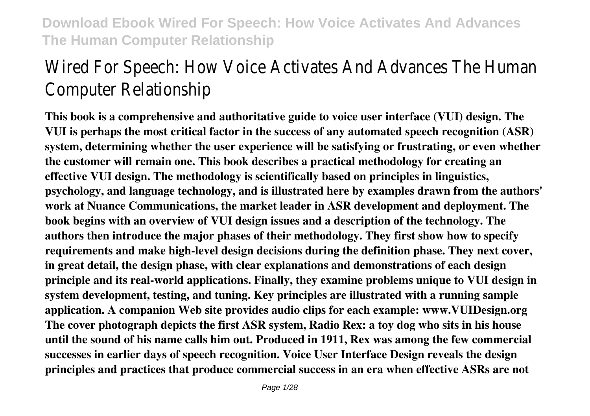# Wired For Speech: How Voice Activates And Advances The Human Computer Relationship

**This book is a comprehensive and authoritative guide to voice user interface (VUI) design. The VUI is perhaps the most critical factor in the success of any automated speech recognition (ASR) system, determining whether the user experience will be satisfying or frustrating, or even whether the customer will remain one. This book describes a practical methodology for creating an effective VUI design. The methodology is scientifically based on principles in linguistics, psychology, and language technology, and is illustrated here by examples drawn from the authors' work at Nuance Communications, the market leader in ASR development and deployment. The book begins with an overview of VUI design issues and a description of the technology. The authors then introduce the major phases of their methodology. They first show how to specify requirements and make high-level design decisions during the definition phase. They next cover, in great detail, the design phase, with clear explanations and demonstrations of each design principle and its real-world applications. Finally, they examine problems unique to VUI design in system development, testing, and tuning. Key principles are illustrated with a running sample application. A companion Web site provides audio clips for each example: www.VUIDesign.org The cover photograph depicts the first ASR system, Radio Rex: a toy dog who sits in his house until the sound of his name calls him out. Produced in 1911, Rex was among the few commercial successes in earlier days of speech recognition. Voice User Interface Design reveals the design principles and practices that produce commercial success in an era when effective ASRs are not**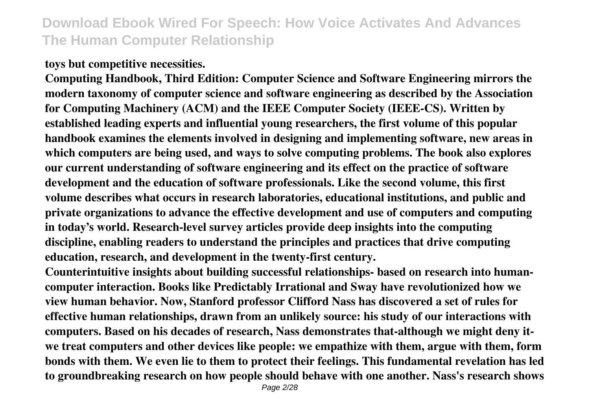#### **toys but competitive necessities.**

**Computing Handbook, Third Edition: Computer Science and Software Engineering mirrors the modern taxonomy of computer science and software engineering as described by the Association for Computing Machinery (ACM) and the IEEE Computer Society (IEEE-CS). Written by established leading experts and influential young researchers, the first volume of this popular handbook examines the elements involved in designing and implementing software, new areas in which computers are being used, and ways to solve computing problems. The book also explores our current understanding of software engineering and its effect on the practice of software development and the education of software professionals. Like the second volume, this first volume describes what occurs in research laboratories, educational institutions, and public and private organizations to advance the effective development and use of computers and computing in today's world. Research-level survey articles provide deep insights into the computing discipline, enabling readers to understand the principles and practices that drive computing education, research, and development in the twenty-first century.**

**Counterintuitive insights about building successful relationships- based on research into humancomputer interaction. Books like Predictably Irrational and Sway have revolutionized how we view human behavior. Now, Stanford professor Clifford Nass has discovered a set of rules for effective human relationships, drawn from an unlikely source: his study of our interactions with computers. Based on his decades of research, Nass demonstrates that-although we might deny itwe treat computers and other devices like people: we empathize with them, argue with them, form bonds with them. We even lie to them to protect their feelings. This fundamental revelation has led to groundbreaking research on how people should behave with one another. Nass's research shows**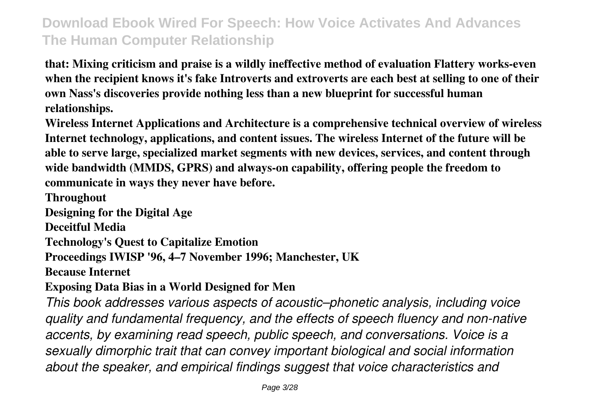**that: Mixing criticism and praise is a wildly ineffective method of evaluation Flattery works-even when the recipient knows it's fake Introverts and extroverts are each best at selling to one of their own Nass's discoveries provide nothing less than a new blueprint for successful human relationships.**

**Wireless Internet Applications and Architecture is a comprehensive technical overview of wireless Internet technology, applications, and content issues. The wireless Internet of the future will be able to serve large, specialized market segments with new devices, services, and content through wide bandwidth (MMDS, GPRS) and always-on capability, offering people the freedom to communicate in ways they never have before.**

**Throughout**

**Designing for the Digital Age**

**Deceitful Media**

**Technology's Quest to Capitalize Emotion**

**Proceedings IWISP '96, 4–7 November 1996; Manchester, UK**

**Because Internet**

**Exposing Data Bias in a World Designed for Men**

*This book addresses various aspects of acoustic–phonetic analysis, including voice quality and fundamental frequency, and the effects of speech fluency and non-native accents, by examining read speech, public speech, and conversations. Voice is a sexually dimorphic trait that can convey important biological and social information about the speaker, and empirical findings suggest that voice characteristics and*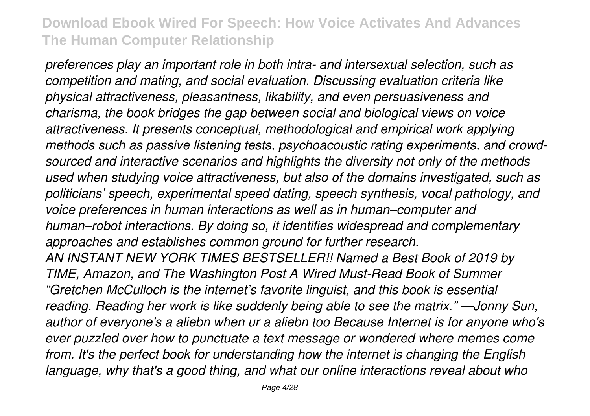*preferences play an important role in both intra- and intersexual selection, such as competition and mating, and social evaluation. Discussing evaluation criteria like physical attractiveness, pleasantness, likability, and even persuasiveness and charisma, the book bridges the gap between social and biological views on voice attractiveness. It presents conceptual, methodological and empirical work applying methods such as passive listening tests, psychoacoustic rating experiments, and crowdsourced and interactive scenarios and highlights the diversity not only of the methods used when studying voice attractiveness, but also of the domains investigated, such as politicians' speech, experimental speed dating, speech synthesis, vocal pathology, and voice preferences in human interactions as well as in human–computer and human–robot interactions. By doing so, it identifies widespread and complementary approaches and establishes common ground for further research. AN INSTANT NEW YORK TIMES BESTSELLER!! Named a Best Book of 2019 by TIME, Amazon, and The Washington Post A Wired Must-Read Book of Summer "Gretchen McCulloch is the internet's favorite linguist, and this book is essential reading. Reading her work is like suddenly being able to see the matrix." —Jonny Sun, author of everyone's a aliebn when ur a aliebn too Because Internet is for anyone who's ever puzzled over how to punctuate a text message or wondered where memes come from. It's the perfect book for understanding how the internet is changing the English language, why that's a good thing, and what our online interactions reveal about who*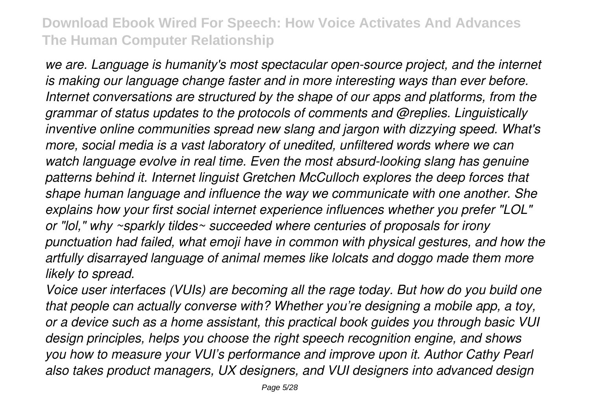*we are. Language is humanity's most spectacular open-source project, and the internet is making our language change faster and in more interesting ways than ever before. Internet conversations are structured by the shape of our apps and platforms, from the grammar of status updates to the protocols of comments and @replies. Linguistically inventive online communities spread new slang and jargon with dizzying speed. What's more, social media is a vast laboratory of unedited, unfiltered words where we can watch language evolve in real time. Even the most absurd-looking slang has genuine patterns behind it. Internet linguist Gretchen McCulloch explores the deep forces that shape human language and influence the way we communicate with one another. She explains how your first social internet experience influences whether you prefer "LOL" or "lol," why ~sparkly tildes~ succeeded where centuries of proposals for irony punctuation had failed, what emoji have in common with physical gestures, and how the artfully disarrayed language of animal memes like lolcats and doggo made them more likely to spread.*

*Voice user interfaces (VUIs) are becoming all the rage today. But how do you build one that people can actually converse with? Whether you're designing a mobile app, a toy, or a device such as a home assistant, this practical book guides you through basic VUI design principles, helps you choose the right speech recognition engine, and shows you how to measure your VUI's performance and improve upon it. Author Cathy Pearl also takes product managers, UX designers, and VUI designers into advanced design*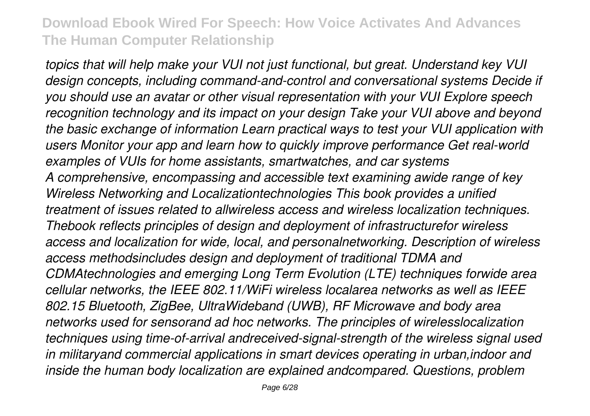*topics that will help make your VUI not just functional, but great. Understand key VUI design concepts, including command-and-control and conversational systems Decide if you should use an avatar or other visual representation with your VUI Explore speech recognition technology and its impact on your design Take your VUI above and beyond the basic exchange of information Learn practical ways to test your VUI application with users Monitor your app and learn how to quickly improve performance Get real-world examples of VUIs for home assistants, smartwatches, and car systems A comprehensive, encompassing and accessible text examining awide range of key Wireless Networking and Localizationtechnologies This book provides a unified treatment of issues related to allwireless access and wireless localization techniques. Thebook reflects principles of design and deployment of infrastructurefor wireless access and localization for wide, local, and personalnetworking. Description of wireless access methodsincludes design and deployment of traditional TDMA and CDMAtechnologies and emerging Long Term Evolution (LTE) techniques forwide area cellular networks, the IEEE 802.11/WiFi wireless localarea networks as well as IEEE 802.15 Bluetooth, ZigBee, UltraWideband (UWB), RF Microwave and body area networks used for sensorand ad hoc networks. The principles of wirelesslocalization techniques using time-of-arrival andreceived-signal-strength of the wireless signal used in militaryand commercial applications in smart devices operating in urban,indoor and inside the human body localization are explained andcompared. Questions, problem*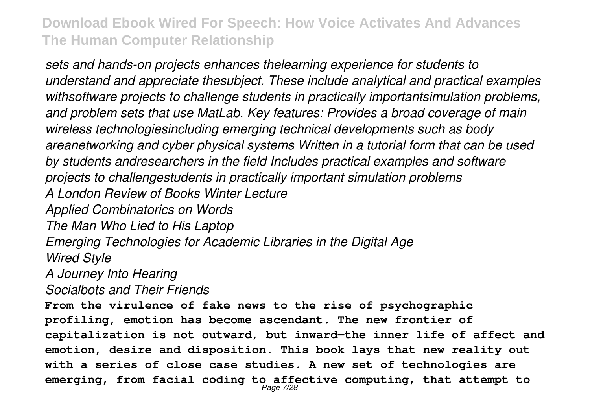*sets and hands-on projects enhances thelearning experience for students to understand and appreciate thesubject. These include analytical and practical examples withsoftware projects to challenge students in practically importantsimulation problems, and problem sets that use MatLab. Key features: Provides a broad coverage of main wireless technologiesincluding emerging technical developments such as body areanetworking and cyber physical systems Written in a tutorial form that can be used by students andresearchers in the field Includes practical examples and software projects to challengestudents in practically important simulation problems A London Review of Books Winter Lecture Applied Combinatorics on Words The Man Who Lied to His Laptop Emerging Technologies for Academic Libraries in the Digital Age Wired Style A Journey Into Hearing Socialbots and Their Friends* **From the virulence of fake news to the rise of psychographic profiling, emotion has become ascendant. The new frontier of capitalization is not outward, but inward—the inner life of affect and emotion, desire and disposition. This book lays that new reality out with a series of close case studies. A new set of technologies are emerging, from facial coding to affective computing, that attempt to**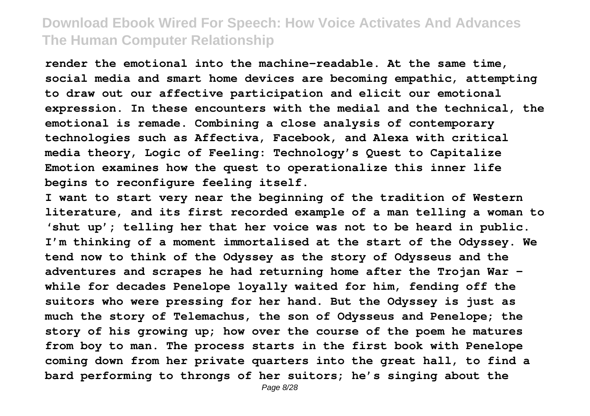**render the emotional into the machine-readable. At the same time, social media and smart home devices are becoming empathic, attempting to draw out our affective participation and elicit our emotional expression. In these encounters with the medial and the technical, the emotional is remade. Combining a close analysis of contemporary technologies such as Affectiva, Facebook, and Alexa with critical media theory, Logic of Feeling: Technology's Quest to Capitalize Emotion examines how the quest to operationalize this inner life begins to reconfigure feeling itself.**

**I want to start very near the beginning of the tradition of Western literature, and its first recorded example of a man telling a woman to 'shut up'; telling her that her voice was not to be heard in public. I'm thinking of a moment immortalised at the start of the Odyssey. We tend now to think of the Odyssey as the story of Odysseus and the adventures and scrapes he had returning home after the Trojan War – while for decades Penelope loyally waited for him, fending off the suitors who were pressing for her hand. But the Odyssey is just as much the story of Telemachus, the son of Odysseus and Penelope; the story of his growing up; how over the course of the poem he matures from boy to man. The process starts in the first book with Penelope coming down from her private quarters into the great hall, to find a bard performing to throngs of her suitors; he's singing about the**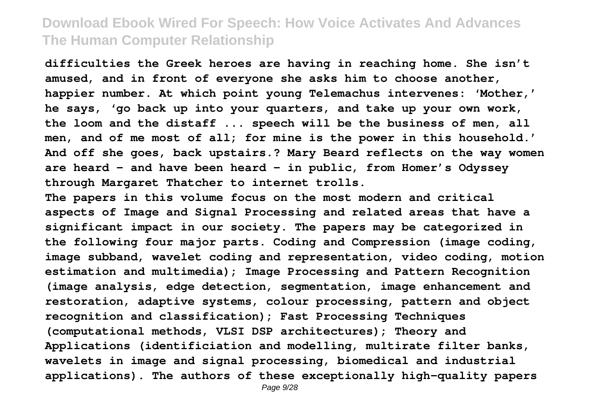**difficulties the Greek heroes are having in reaching home. She isn't amused, and in front of everyone she asks him to choose another, happier number. At which point young Telemachus intervenes: 'Mother,' he says, 'go back up into your quarters, and take up your own work, the loom and the distaff ... speech will be the business of men, all men, and of me most of all; for mine is the power in this household.' And off she goes, back upstairs.? Mary Beard reflects on the way women are heard – and have been heard – in public, from Homer's Odyssey through Margaret Thatcher to internet trolls.**

**The papers in this volume focus on the most modern and critical aspects of Image and Signal Processing and related areas that have a significant impact in our society. The papers may be categorized in the following four major parts. Coding and Compression (image coding, image subband, wavelet coding and representation, video coding, motion estimation and multimedia); Image Processing and Pattern Recognition (image analysis, edge detection, segmentation, image enhancement and restoration, adaptive systems, colour processing, pattern and object recognition and classification); Fast Processing Techniques (computational methods, VLSI DSP architectures); Theory and Applications (identificiation and modelling, multirate filter banks, wavelets in image and signal processing, biomedical and industrial applications). The authors of these exceptionally high-quality papers**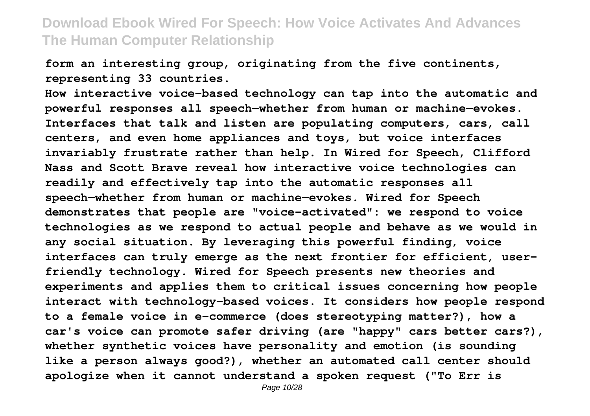**form an interesting group, originating from the five continents, representing 33 countries.**

**How interactive voice-based technology can tap into the automatic and powerful responses all speech—whether from human or machine—evokes. Interfaces that talk and listen are populating computers, cars, call centers, and even home appliances and toys, but voice interfaces invariably frustrate rather than help. In Wired for Speech, Clifford Nass and Scott Brave reveal how interactive voice technologies can readily and effectively tap into the automatic responses all speech—whether from human or machine—evokes. Wired for Speech demonstrates that people are "voice-activated": we respond to voice technologies as we respond to actual people and behave as we would in any social situation. By leveraging this powerful finding, voice interfaces can truly emerge as the next frontier for efficient, userfriendly technology. Wired for Speech presents new theories and experiments and applies them to critical issues concerning how people interact with technology-based voices. It considers how people respond to a female voice in e-commerce (does stereotyping matter?), how a car's voice can promote safer driving (are "happy" cars better cars?), whether synthetic voices have personality and emotion (is sounding like a person always good?), whether an automated call center should apologize when it cannot understand a spoken request ("To Err is**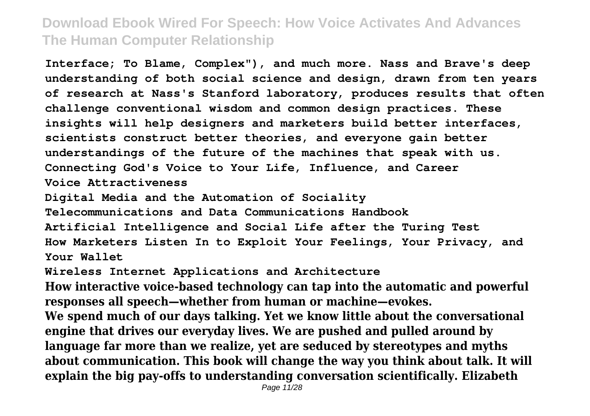**Interface; To Blame, Complex"), and much more. Nass and Brave's deep understanding of both social science and design, drawn from ten years of research at Nass's Stanford laboratory, produces results that often challenge conventional wisdom and common design practices. These insights will help designers and marketers build better interfaces, scientists construct better theories, and everyone gain better understandings of the future of the machines that speak with us. Connecting God's Voice to Your Life, Influence, and Career Voice Attractiveness**

**Digital Media and the Automation of Sociality**

**Telecommunications and Data Communications Handbook Artificial Intelligence and Social Life after the Turing Test How Marketers Listen In to Exploit Your Feelings, Your Privacy, and Your Wallet**

**Wireless Internet Applications and Architecture**

**How interactive voice-based technology can tap into the automatic and powerful responses all speech—whether from human or machine—evokes. We spend much of our days talking. Yet we know little about the conversational engine that drives our everyday lives. We are pushed and pulled around by language far more than we realize, yet are seduced by stereotypes and myths about communication. This book will change the way you think about talk. It will explain the big pay-offs to understanding conversation scientifically. Elizabeth**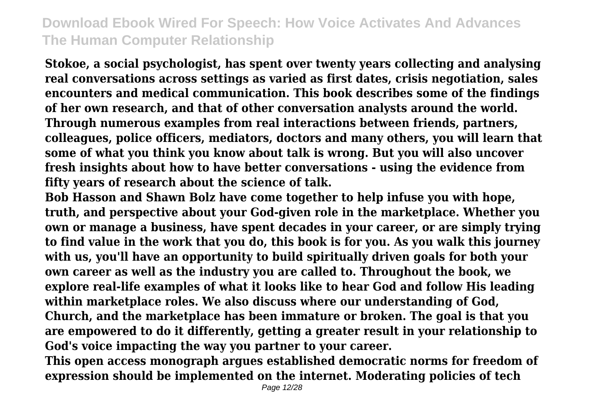**Stokoe, a social psychologist, has spent over twenty years collecting and analysing real conversations across settings as varied as first dates, crisis negotiation, sales encounters and medical communication. This book describes some of the findings of her own research, and that of other conversation analysts around the world. Through numerous examples from real interactions between friends, partners, colleagues, police officers, mediators, doctors and many others, you will learn that some of what you think you know about talk is wrong. But you will also uncover fresh insights about how to have better conversations - using the evidence from fifty years of research about the science of talk.**

**Bob Hasson and Shawn Bolz have come together to help infuse you with hope, truth, and perspective about your God-given role in the marketplace. Whether you own or manage a business, have spent decades in your career, or are simply trying to find value in the work that you do, this book is for you. As you walk this journey with us, you'll have an opportunity to build spiritually driven goals for both your own career as well as the industry you are called to. Throughout the book, we explore real-life examples of what it looks like to hear God and follow His leading within marketplace roles. We also discuss where our understanding of God, Church, and the marketplace has been immature or broken. The goal is that you are empowered to do it differently, getting a greater result in your relationship to God's voice impacting the way you partner to your career.**

**This open access monograph argues established democratic norms for freedom of expression should be implemented on the internet. Moderating policies of tech**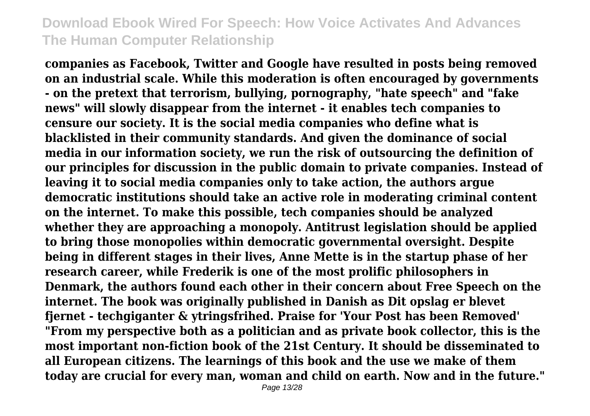**companies as Facebook, Twitter and Google have resulted in posts being removed on an industrial scale. While this moderation is often encouraged by governments - on the pretext that terrorism, bullying, pornography, "hate speech" and "fake news" will slowly disappear from the internet - it enables tech companies to censure our society. It is the social media companies who define what is blacklisted in their community standards. And given the dominance of social media in our information society, we run the risk of outsourcing the definition of our principles for discussion in the public domain to private companies. Instead of leaving it to social media companies only to take action, the authors argue democratic institutions should take an active role in moderating criminal content on the internet. To make this possible, tech companies should be analyzed whether they are approaching a monopoly. Antitrust legislation should be applied to bring those monopolies within democratic governmental oversight. Despite being in different stages in their lives, Anne Mette is in the startup phase of her research career, while Frederik is one of the most prolific philosophers in Denmark, the authors found each other in their concern about Free Speech on the internet. The book was originally published in Danish as Dit opslag er blevet fjernet - techgiganter & ytringsfrihed. Praise for 'Your Post has been Removed' "From my perspective both as a politician and as private book collector, this is the most important non-fiction book of the 21st Century. It should be disseminated to all European citizens. The learnings of this book and the use we make of them today are crucial for every man, woman and child on earth. Now and in the future."**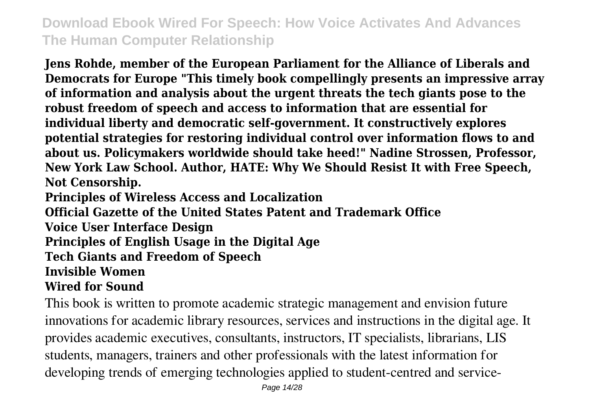**Jens Rohde, member of the European Parliament for the Alliance of Liberals and Democrats for Europe "This timely book compellingly presents an impressive array of information and analysis about the urgent threats the tech giants pose to the robust freedom of speech and access to information that are essential for individual liberty and democratic self-government. It constructively explores potential strategies for restoring individual control over information flows to and about us. Policymakers worldwide should take heed!" Nadine Strossen, Professor, New York Law School. Author, HATE: Why We Should Resist It with Free Speech, Not Censorship.**

**Principles of Wireless Access and Localization**

**Official Gazette of the United States Patent and Trademark Office**

**Voice User Interface Design**

**Principles of English Usage in the Digital Age**

**Tech Giants and Freedom of Speech**

#### **Invisible Women**

#### **Wired for Sound**

This book is written to promote academic strategic management and envision future innovations for academic library resources, services and instructions in the digital age. It provides academic executives, consultants, instructors, IT specialists, librarians, LIS students, managers, trainers and other professionals with the latest information for developing trends of emerging technologies applied to student-centred and service-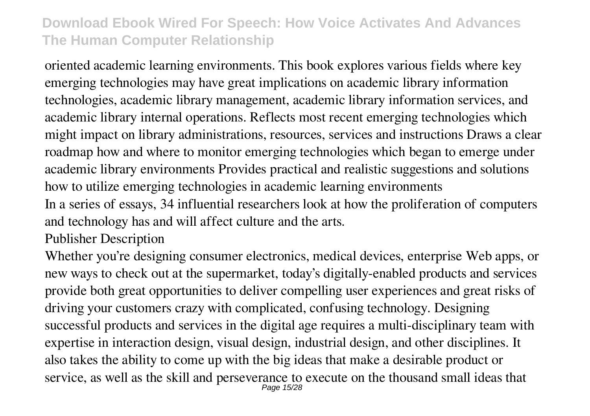oriented academic learning environments. This book explores various fields where key emerging technologies may have great implications on academic library information technologies, academic library management, academic library information services, and academic library internal operations. Reflects most recent emerging technologies which might impact on library administrations, resources, services and instructions Draws a clear roadmap how and where to monitor emerging technologies which began to emerge under academic library environments Provides practical and realistic suggestions and solutions how to utilize emerging technologies in academic learning environments In a series of essays, 34 influential researchers look at how the proliferation of computers

and technology has and will affect culture and the arts.

Publisher Description

Whether you're designing consumer electronics, medical devices, enterprise Web apps, or new ways to check out at the supermarket, today's digitally-enabled products and services provide both great opportunities to deliver compelling user experiences and great risks of driving your customers crazy with complicated, confusing technology. Designing successful products and services in the digital age requires a multi-disciplinary team with expertise in interaction design, visual design, industrial design, and other disciplines. It also takes the ability to come up with the big ideas that make a desirable product or service, as well as the skill and perseverance to execute on the thousand small ideas that Page 15/28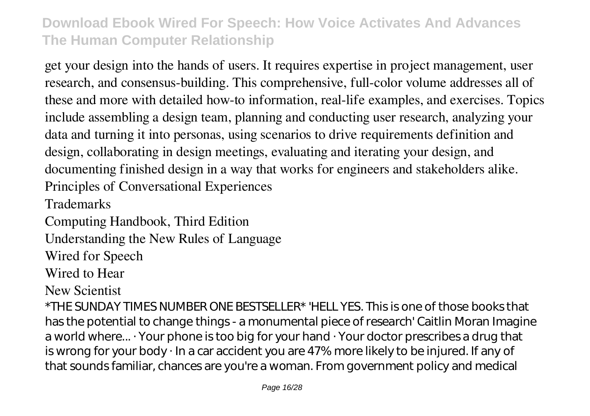get your design into the hands of users. It requires expertise in project management, user research, and consensus-building. This comprehensive, full-color volume addresses all of these and more with detailed how-to information, real-life examples, and exercises. Topics include assembling a design team, planning and conducting user research, analyzing your data and turning it into personas, using scenarios to drive requirements definition and design, collaborating in design meetings, evaluating and iterating your design, and documenting finished design in a way that works for engineers and stakeholders alike. Principles of Conversational Experiences

**Trademarks** 

Computing Handbook, Third Edition

Understanding the New Rules of Language

Wired for Speech

Wired to Hear

New Scientist

\*THE SUNDAY TIMES NUMBER ONE BESTSELLER\* 'HELL YES. This is one of those books that has the potential to change things - a monumental piece of research' Caitlin Moran Imagine a world where... · Your phone is too big for your hand · Your doctor prescribes a drug that is wrong for your body · In a car accident you are 47% more likely to be injured. If any of that sounds familiar, chances are you're a woman. From government policy and medical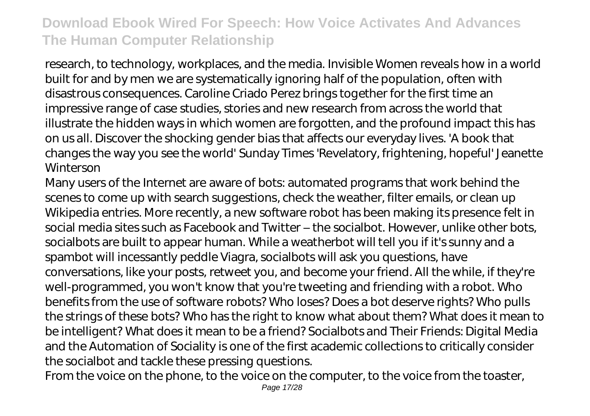research, to technology, workplaces, and the media. Invisible Women reveals how in a world built for and by men we are systematically ignoring half of the population, often with disastrous consequences. Caroline Criado Perez brings together for the first time an impressive range of case studies, stories and new research from across the world that illustrate the hidden ways in which women are forgotten, and the profound impact this has on us all. Discover the shocking gender bias that affects our everyday lives. 'A book that changes the way you see the world' Sunday Times 'Revelatory, frightening, hopeful' Jeanette Winterson

Many users of the Internet are aware of bots: automated programs that work behind the scenes to come up with search suggestions, check the weather, filter emails, or clean up Wikipedia entries. More recently, a new software robot has been making its presence felt in social media sites such as Facebook and Twitter – the socialbot. However, unlike other bots, socialbots are built to appear human. While a weatherbot will tell you if it's sunny and a spambot will incessantly peddle Viagra, socialbots will ask you questions, have conversations, like your posts, retweet you, and become your friend. All the while, if they're well-programmed, you won't know that you're tweeting and friending with a robot. Who benefits from the use of software robots? Who loses? Does a bot deserve rights? Who pulls the strings of these bots? Who has the right to know what about them? What does it mean to be intelligent? What does it mean to be a friend? Socialbots and Their Friends: Digital Media and the Automation of Sociality is one of the first academic collections to critically consider the socialbot and tackle these pressing questions.

From the voice on the phone, to the voice on the computer, to the voice from the toaster,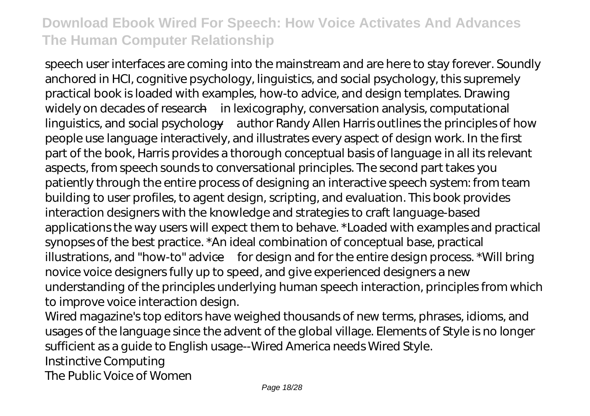speech user interfaces are coming into the mainstream and are here to stay forever. Soundly anchored in HCI, cognitive psychology, linguistics, and social psychology, this supremely practical book is loaded with examples, how-to advice, and design templates. Drawing widely on decades of research—in lexicography, conversation analysis, computational linguistics, and social psychology—author Randy Allen Harris outlines the principles of how people use language interactively, and illustrates every aspect of design work. In the first part of the book, Harris provides a thorough conceptual basis of language in all its relevant aspects, from speech sounds to conversational principles. The second part takes you patiently through the entire process of designing an interactive speech system: from team building to user profiles, to agent design, scripting, and evaluation. This book provides interaction designers with the knowledge and strategies to craft language-based applications the way users will expect them to behave. \*Loaded with examples and practical synopses of the best practice. \*An ideal combination of conceptual base, practical illustrations, and "how-to" advice—for design and for the entire design process. \*Will bring novice voice designers fully up to speed, and give experienced designers a new understanding of the principles underlying human speech interaction, principles from which to improve voice interaction design.

Wired magazine's top editors have weighed thousands of new terms, phrases, idioms, and usages of the language since the advent of the global village. Elements of Style is no longer sufficient as a guide to English usage--Wired America needs Wired Style.

Instinctive Computing

The Public Voice of Women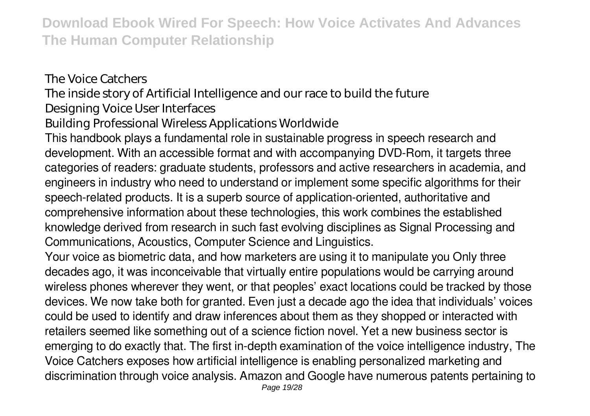The Voice Catchers The inside story of Artificial Intelligence and our race to build the future Designing Voice User Interfaces Building Professional Wireless Applications Worldwide This handbook plays a fundamental role in sustainable progress in speech research and development. With an accessible format and with accompanying DVD-Rom, it targets three categories of readers: graduate students, professors and active researchers in academia, and engineers in industry who need to understand or implement some specific algorithms for their speech-related products. It is a superb source of application-oriented, authoritative and comprehensive information about these technologies, this work combines the established knowledge derived from research in such fast evolving disciplines as Signal Processing and Communications, Acoustics, Computer Science and Linguistics. Your voice as biometric data, and how marketers are using it to manipulate you Only three decades ago, it was inconceivable that virtually entire populations would be carrying around

wireless phones wherever they went, or that peoples' exact locations could be tracked by those devices. We now take both for granted. Even just a decade ago the idea that individuals' voices could be used to identify and draw inferences about them as they shopped or interacted with retailers seemed like something out of a science fiction novel. Yet a new business sector is emerging to do exactly that. The first in-depth examination of the voice intelligence industry, The Voice Catchers exposes how artificial intelligence is enabling personalized marketing and discrimination through voice analysis. Amazon and Google have numerous patents pertaining to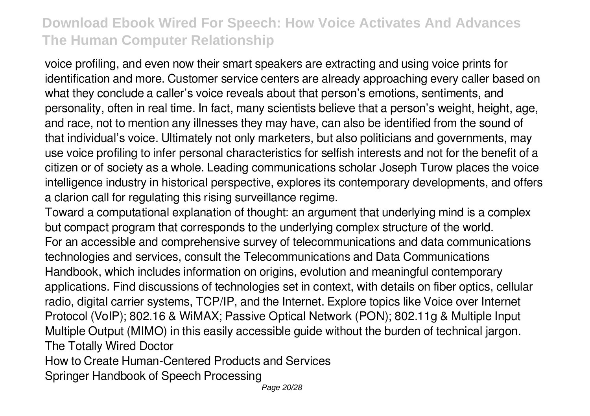voice profiling, and even now their smart speakers are extracting and using voice prints for identification and more. Customer service centers are already approaching every caller based on what they conclude a caller's voice reveals about that person's emotions, sentiments, and personality, often in real time. In fact, many scientists believe that a person's weight, height, age, and race, not to mention any illnesses they may have, can also be identified from the sound of that individual's voice. Ultimately not only marketers, but also politicians and governments, may use voice profiling to infer personal characteristics for selfish interests and not for the benefit of a citizen or of society as a whole. Leading communications scholar Joseph Turow places the voice intelligence industry in historical perspective, explores its contemporary developments, and offers a clarion call for regulating this rising surveillance regime.

Toward a computational explanation of thought: an argument that underlying mind is a complex but compact program that corresponds to the underlying complex structure of the world. For an accessible and comprehensive survey of telecommunications and data communications technologies and services, consult the Telecommunications and Data Communications Handbook, which includes information on origins, evolution and meaningful contemporary applications. Find discussions of technologies set in context, with details on fiber optics, cellular radio, digital carrier systems, TCP/IP, and the Internet. Explore topics like Voice over Internet Protocol (VoIP); 802.16 & WiMAX; Passive Optical Network (PON); 802.11g & Multiple Input Multiple Output (MIMO) in this easily accessible guide without the burden of technical jargon. The Totally Wired Doctor

How to Create Human-Centered Products and Services

Springer Handbook of Speech Processing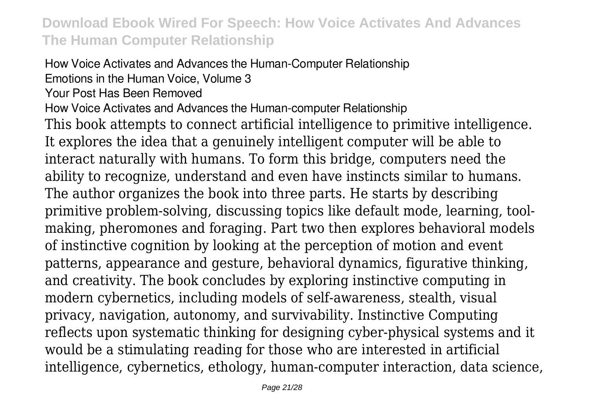How Voice Activates and Advances the Human-Computer Relationship Emotions in the Human Voice, Volume 3 Your Post Has Been Removed How Voice Activates and Advances the Human-computer Relationship This book attempts to connect artificial intelligence to primitive intelligence. It explores the idea that a genuinely intelligent computer will be able to interact naturally with humans. To form this bridge, computers need the ability to recognize, understand and even have instincts similar to humans. The author organizes the book into three parts. He starts by describing primitive problem-solving, discussing topics like default mode, learning, toolmaking, pheromones and foraging. Part two then explores behavioral models of instinctive cognition by looking at the perception of motion and event patterns, appearance and gesture, behavioral dynamics, figurative thinking, and creativity. The book concludes by exploring instinctive computing in modern cybernetics, including models of self-awareness, stealth, visual privacy, navigation, autonomy, and survivability. Instinctive Computing reflects upon systematic thinking for designing cyber-physical systems and it would be a stimulating reading for those who are interested in artificial intelligence, cybernetics, ethology, human-computer interaction, data science,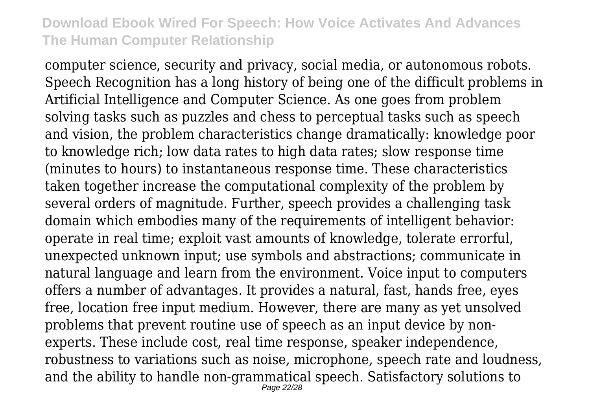computer science, security and privacy, social media, or autonomous robots. Speech Recognition has a long history of being one of the difficult problems in Artificial Intelligence and Computer Science. As one goes from problem solving tasks such as puzzles and chess to perceptual tasks such as speech and vision, the problem characteristics change dramatically: knowledge poor to knowledge rich; low data rates to high data rates; slow response time (minutes to hours) to instantaneous response time. These characteristics taken together increase the computational complexity of the problem by several orders of magnitude. Further, speech provides a challenging task domain which embodies many of the requirements of intelligent behavior: operate in real time; exploit vast amounts of knowledge, tolerate errorful, unexpected unknown input; use symbols and abstractions; communicate in natural language and learn from the environment. Voice input to computers offers a number of advantages. It provides a natural, fast, hands free, eyes free, location free input medium. However, there are many as yet unsolved problems that prevent routine use of speech as an input device by nonexperts. These include cost, real time response, speaker independence, robustness to variations such as noise, microphone, speech rate and loudness, and the ability to handle non-grammatical speech. Satisfactory solutions to Page 22/28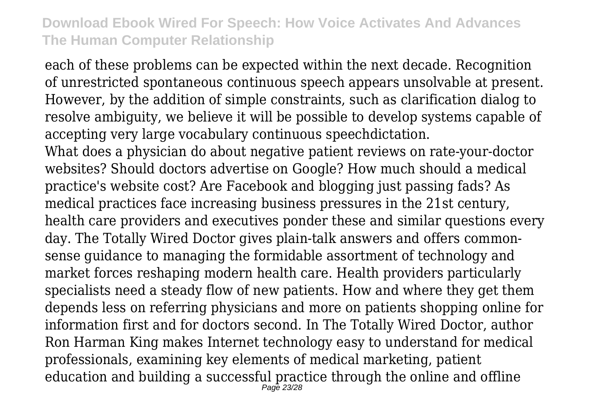each of these problems can be expected within the next decade. Recognition of unrestricted spontaneous continuous speech appears unsolvable at present. However, by the addition of simple constraints, such as clarification dialog to resolve ambiguity, we believe it will be possible to develop systems capable of accepting very large vocabulary continuous speechdictation.

What does a physician do about negative patient reviews on rate-your-doctor websites? Should doctors advertise on Google? How much should a medical practice's website cost? Are Facebook and blogging just passing fads? As medical practices face increasing business pressures in the 21st century, health care providers and executives ponder these and similar questions every day. The Totally Wired Doctor gives plain-talk answers and offers commonsense guidance to managing the formidable assortment of technology and market forces reshaping modern health care. Health providers particularly specialists need a steady flow of new patients. How and where they get them depends less on referring physicians and more on patients shopping online for information first and for doctors second. In The Totally Wired Doctor, author Ron Harman King makes Internet technology easy to understand for medical professionals, examining key elements of medical marketing, patient education and building a successful practice through the online and offline Page 23/28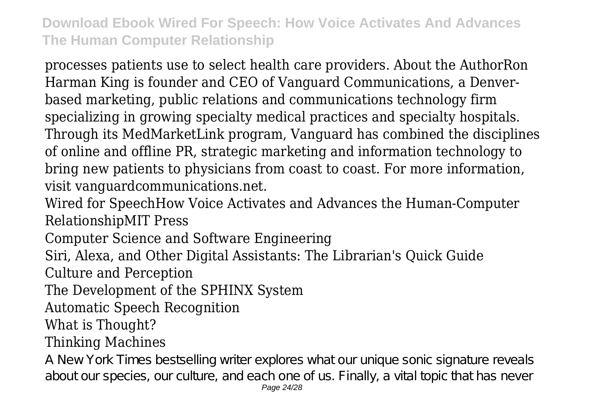processes patients use to select health care providers. About the AuthorRon Harman King is founder and CEO of Vanguard Communications, a Denverbased marketing, public relations and communications technology firm specializing in growing specialty medical practices and specialty hospitals. Through its MedMarketLink program, Vanguard has combined the disciplines of online and offline PR, strategic marketing and information technology to bring new patients to physicians from coast to coast. For more information, visit vanguardcommunications.net.

Wired for SpeechHow Voice Activates and Advances the Human-Computer RelationshipMIT Press

Computer Science and Software Engineering

Siri, Alexa, and Other Digital Assistants: The Librarian's Quick Guide

Culture and Perception

The Development of the SPHINX System

Automatic Speech Recognition

What is Thought?

## Thinking Machines

A New York Times bestselling writer explores what our unique sonic signature reveals about our species, our culture, and each one of us. Finally, a vital topic that has never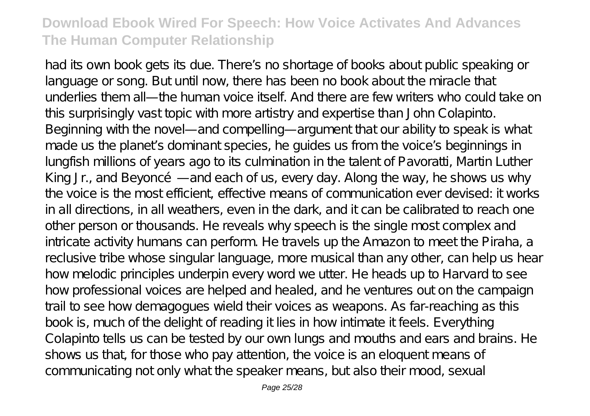had its own book gets its due. There's no shortage of books about public speaking or language or song. But until now, there has been no book about the miracle that underlies them all—the human voice itself. And there are few writers who could take on this surprisingly vast topic with more artistry and expertise than John Colapinto. Beginning with the novel—and compelling—argument that our ability to speak is what made us the planet's dominant species, he guides us from the voice's beginnings in lungfish millions of years ago to its culmination in the talent of Pavoratti, Martin Luther King Jr., and Beyoncé—and each of us, every day. Along the way, he shows us why the voice is the most efficient, effective means of communication ever devised: it works in all directions, in all weathers, even in the dark, and it can be calibrated to reach one other person or thousands. He reveals why speech is the single most complex and intricate activity humans can perform. He travels up the Amazon to meet the Piraha, a reclusive tribe whose singular language, more musical than any other, can help us hear how melodic principles underpin every word we utter. He heads up to Harvard to see how professional voices are helped and healed, and he ventures out on the campaign trail to see how demagogues wield their voices as weapons. As far-reaching as this book is, much of the delight of reading it lies in how intimate it feels. Everything Colapinto tells us can be tested by our own lungs and mouths and ears and brains. He shows us that, for those who pay attention, the voice is an eloquent means of communicating not only what the speaker means, but also their mood, sexual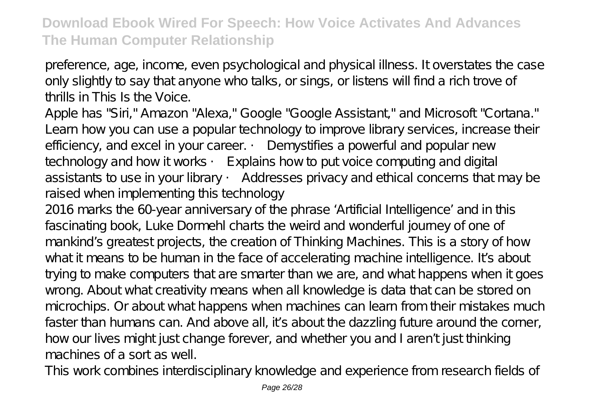preference, age, income, even psychological and physical illness. It overstates the case only slightly to say that anyone who talks, or sings, or listens will find a rich trove of thrills in This Is the Voice.

Apple has "Siri," Amazon "Alexa," Google "Google Assistant," and Microsoft "Cortana." Learn how you can use a popular technology to improve library services, increase their efficiency, and excel in your career. • Demystifies a powerful and popular new technology and how it works • Explains how to put voice computing and digital assistants to use in your library • Addresses privacy and ethical concerns that may be raised when implementing this technology

2016 marks the 60-year anniversary of the phrase 'Artificial Intelligence' and in this fascinating book, Luke Dormehl charts the weird and wonderful journey of one of mankind's greatest projects, the creation of Thinking Machines. This is a story of how what it means to be human in the face of accelerating machine intelligence. It's about trying to make computers that are smarter than we are, and what happens when it goes wrong. About what creativity means when all knowledge is data that can be stored on microchips. Or about what happens when machines can learn from their mistakes much faster than humans can. And above all, it's about the dazzling future around the corner, how our lives might just change forever, and whether you and I aren't just thinking machines of a sort as well.

This work combines interdisciplinary knowledge and experience from research fields of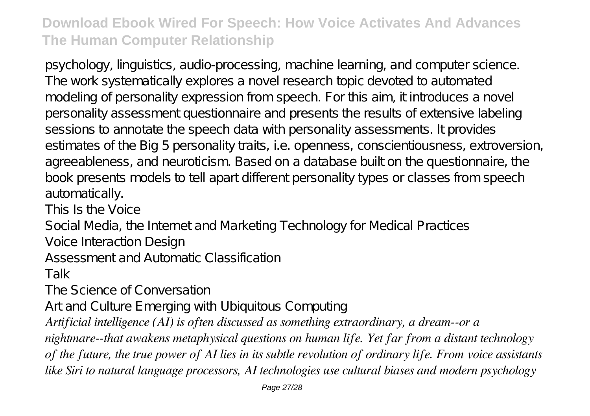psychology, linguistics, audio-processing, machine learning, and computer science. The work systematically explores a novel research topic devoted to automated modeling of personality expression from speech. For this aim, it introduces a novel personality assessment questionnaire and presents the results of extensive labeling sessions to annotate the speech data with personality assessments. It provides estimates of the Big 5 personality traits, i.e. openness, conscientiousness, extroversion, agreeableness, and neuroticism. Based on a database built on the questionnaire, the book presents models to tell apart different personality types or classes from speech automatically.

This Is the Voice

Social Media, the Internet and Marketing Technology for Medical Practices

Voice Interaction Design

Assessment and Automatic Classification

Talk

The Science of Conversation

Art and Culture Emerging with Ubiquitous Computing

*Artificial intelligence (AI) is often discussed as something extraordinary, a dream--or a*

*nightmare--that awakens metaphysical questions on human life. Yet far from a distant technology of the future, the true power of AI lies in its subtle revolution of ordinary life. From voice assistants like Siri to natural language processors, AI technologies use cultural biases and modern psychology*